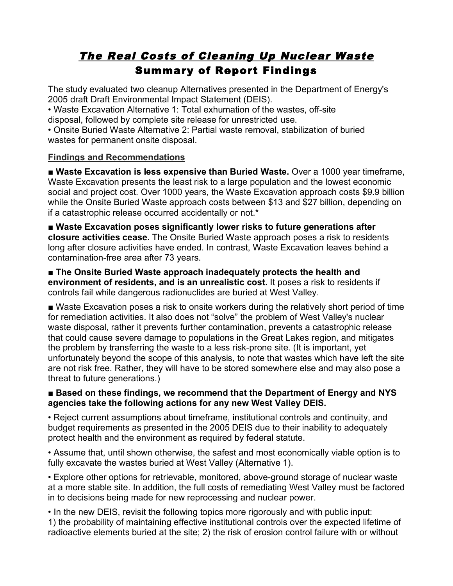# The Real Costs of Cleaning Up Nuclear Waste Summary of Report Findings

The study evaluated two cleanup Alternatives presented in the Department of Energy's 2005 draft Draft Environmental Impact Statement (DEIS).

• Waste Excavation Alternative 1: Total exhumation of the wastes, off-site disposal, followed by complete site release for unrestricted use.

• Onsite Buried Waste Alternative 2: Partial waste removal, stabilization of buried wastes for permanent onsite disposal.

# **Findings and Recommendations**

■ Waste Excavation is less expensive than Buried Waste. Over a 1000 year timeframe, Waste Excavation presents the least risk to a large population and the lowest economic social and project cost. Over 1000 years, the Waste Excavation approach costs \$9.9 billion while the Onsite Buried Waste approach costs between \$13 and \$27 billion, depending on if a catastrophic release occurred accidentally or not.\*

■ **Waste Excavation poses significantly lower risks to future generations after closure activities cease.** The Onsite Buried Waste approach poses a risk to residents long after closure activities have ended. In contrast, Waste Excavation leaves behind a contamination-free area after 73 years.

■ **The Onsite Buried Waste approach inadequately protects the health and environment of residents, and is an unrealistic cost.** It poses a risk to residents if controls fail while dangerous radionuclides are buried at West Valley.

■ Waste Excavation poses a risk to onsite workers during the relatively short period of time for remediation activities. It also does not "solve" the problem of West Valley's nuclear waste disposal, rather it prevents further contamination, prevents a catastrophic release that could cause severe damage to populations in the Great Lakes region, and mitigates the problem by transferring the waste to a less risk-prone site. (It is important, yet unfortunately beyond the scope of this analysis, to note that wastes which have left the site are not risk free. Rather, they will have to be stored somewhere else and may also pose a threat to future generations.)

### ■ **Based on these findings, we recommend that the Department of Energy and NYS agencies take the following actions for any new West Valley DEIS.**

• Reject current assumptions about timeframe, institutional controls and continuity, and budget requirements as presented in the 2005 DEIS due to their inability to adequately protect health and the environment as required by federal statute.

• Assume that, until shown otherwise, the safest and most economically viable option is to fully excavate the wastes buried at West Valley (Alternative 1).

• Explore other options for retrievable, monitored, above-ground storage of nuclear waste at a more stable site. In addition, the full costs of remediating West Valley must be factored in to decisions being made for new reprocessing and nuclear power.

• In the new DEIS, revisit the following topics more rigorously and with public input: 1) the probability of maintaining effective institutional controls over the expected lifetime of radioactive elements buried at the site; 2) the risk of erosion control failure with or without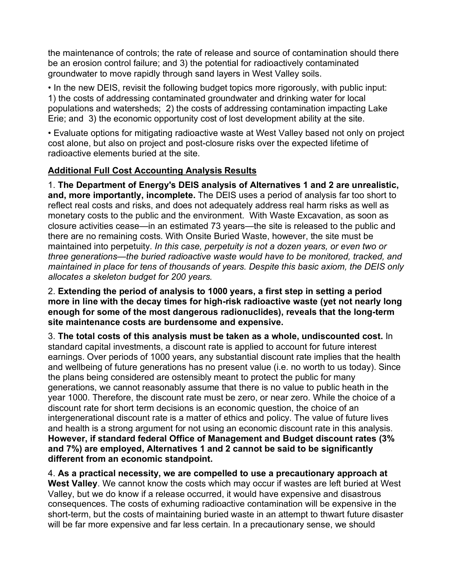the maintenance of controls; the rate of release and source of contamination should there be an erosion control failure; and 3) the potential for radioactively contaminated groundwater to move rapidly through sand layers in West Valley soils.

• In the new DEIS, revisit the following budget topics more rigorously, with public input: 1) the costs of addressing contaminated groundwater and drinking water for local populations and watersheds; 2) the costs of addressing contamination impacting Lake Erie; and 3) the economic opportunity cost of lost development ability at the site.

• Evaluate options for mitigating radioactive waste at West Valley based not only on project cost alone, but also on project and post-closure risks over the expected lifetime of radioactive elements buried at the site.

# **Additional Full Cost Accounting Analysis Results**

1. **The Department of Energy's DEIS analysis of Alternatives 1 and 2 are unrealistic, and, more importantly, incomplete.** The DEIS uses a period of analysis far too short to reflect real costs and risks, and does not adequately address real harm risks as well as monetary costs to the public and the environment. With Waste Excavation, as soon as closure activities cease—in an estimated 73 years—the site is released to the public and there are no remaining costs. With Onsite Buried Waste, however, the site must be maintained into perpetuity. *In this case, perpetuity is not a dozen years, or even two or three generations—the buried radioactive waste would have to be monitored, tracked, and maintained in place for tens of thousands of years. Despite this basic axiom, the DEIS only allocates a skeleton budget for 200 years.*

2. **Extending the period of analysis to 1000 years, a first step in setting a period more in line with the decay times for high-risk radioactive waste (yet not nearly long enough for some of the most dangerous radionuclides), reveals that the long-term site maintenance costs are burdensome and expensive.**

3. **The total costs of this analysis must be taken as a whole, undiscounted cost.** In standard capital investments, a discount rate is applied to account for future interest earnings. Over periods of 1000 years, any substantial discount rate implies that the health and wellbeing of future generations has no present value (i.e. no worth to us today). Since the plans being considered are ostensibly meant to protect the public for many generations, we cannot reasonably assume that there is no value to public heath in the year 1000. Therefore, the discount rate must be zero, or near zero. While the choice of a discount rate for short term decisions is an economic question, the choice of an intergenerational discount rate is a matter of ethics and policy. The value of future lives and health is a strong argument for not using an economic discount rate in this analysis. **However, if standard federal Office of Management and Budget discount rates (3% and 7%) are employed, Alternatives 1 and 2 cannot be said to be significantly different from an economic standpoint.**

4. **As a practical necessity, we are compelled to use a precautionary approach at West Valley**. We cannot know the costs which may occur if wastes are left buried at West Valley, but we do know if a release occurred, it would have expensive and disastrous consequences. The costs of exhuming radioactive contamination will be expensive in the short-term, but the costs of maintaining buried waste in an attempt to thwart future disaster will be far more expensive and far less certain. In a precautionary sense, we should